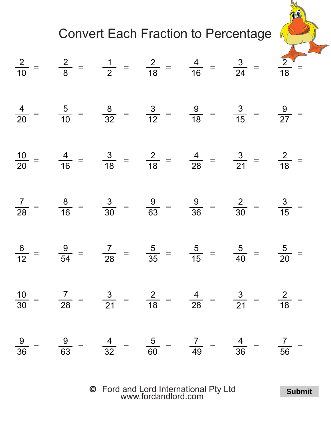

  $rac{9}{36}$  =  $\frac{6}{63}$  =  $rac{1}{32}$  =  $\frac{60}{60}$  =  $\frac{7}{49}$  =  $rac{1}{36}$  =  $\frac{1}{56}$  = 

> $\odot$ Ford and Lord International Pty Ltd [www.fordandlord.com](http://www.fordandlord.com)

**Submit**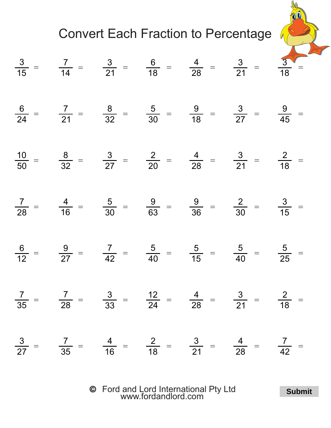

$$
\frac{3}{15} = \frac{7}{14} = \frac{3}{21} = \frac{6}{18} = \frac{4}{28} = \frac{3}{21} = \frac{3}{18} = \frac{3}{18} = \frac{3}{18} = \frac{3}{21} = \frac{3}{18} = \frac{3}{21} = \frac{3}{18} = \frac{3}{21} = \frac{9}{45} = \frac{3}{50} = \frac{10}{32} = \frac{3}{27} = \frac{2}{20} = \frac{4}{28} = \frac{3}{21} = \frac{2}{18} = \frac{3}{18} = \frac{3}{28} = \frac{4}{21} = \frac{5}{18} = \frac{9}{30} = \frac{9}{30} = \frac{9}{30} = \frac{2}{30} = \frac{3}{15} = \frac{6}{12} = \frac{9}{27} = \frac{7}{42} = \frac{5}{40} = \frac{5}{15} = \frac{5}{40} = \frac{5}{25} = \frac{7}{35} = \frac{3}{33} = \frac{12}{24} = \frac{4}{28} = \frac{3}{21} = \frac{2}{18} = \frac{3}{27} = \frac{7}{35} = \frac{4}{16} = \frac{2}{18} = \frac{3}{21} = \frac{4}{28} = \frac{7}{21} = \frac{4}{18} = \frac{7}{21} = \frac{4}{18} = \frac{7}{18} = \frac{1}{28} = \frac{7}{18} = \frac{1}{28} = \frac{1}{28} = \frac{7}{18} = \frac{1}{28} = \frac{1}{28} = \frac{1}{28} = \frac{1}{28} = \frac{1}{28} = \frac{1}{28} = \frac{1}{28} = \frac{1}{28} = \frac{1}{28} = \frac{1}{28} = \frac{1}{28} = \frac{1}{28} = \frac{1}{28} = \frac{1}{28} = \frac{1}{28} = \frac{1}{28} = \frac{1}{28} = \frac{1}{28} = \frac{1}{28} = \frac{1}{28} = \frac{1}{28} = \frac{1}{28} = \frac{1}{28} = \frac{1}{28} = \frac
$$

Ford and Lord International Pty Ltd [www.fordandlord.com](http://www.fordandlord.com)

**Submit**